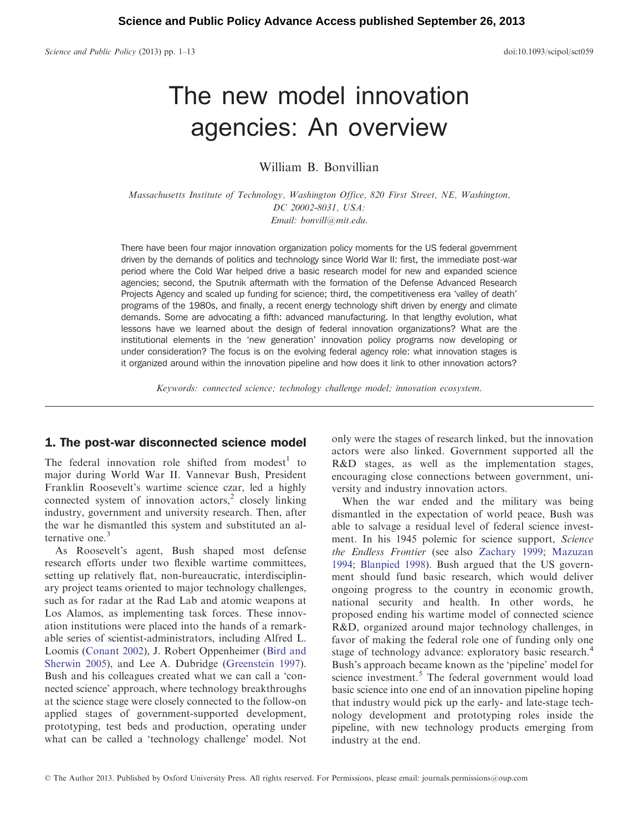Science and Public Policy (2013) pp. 1–13 doi:10.1093/scipol/sct059

# The new model innovation agencies: An overview

William B. Bonvillian

Massachusetts Institute of Technology, Washington Office, 820 First Street, NE, Washington, DC 20002-8031, USA: Email: bonvill@mit.edu.

There have been four major innovation organization policy moments for the US federal government driven by the demands of politics and technology since World War II: first, the immediate post-war period where the Cold War helped drive a basic research model for new and expanded science agencies; second, the Sputnik aftermath with the formation of the Defense Advanced Research Projects Agency and scaled up funding for science; third, the competitiveness era 'valley of death' programs of the 1980s, and finally, a recent energy technology shift driven by energy and climate demands. Some are advocating a fifth: advanced manufacturing. In that lengthy evolution, what lessons have we learned about the design of federal innovation organizations? What are the institutional elements in the 'new generation' innovation policy programs now developing or under consideration? The focus is on the evolving federal agency role: what innovation stages is it organized around within the innovation pipeline and how does it link to other innovation actors?

Keywords: connected science; technology challenge model; innovation ecosystem.

#### 1. The post-war disconnected science model

The federal innovation role shifted from  $model<sup>1</sup>$  to major during World War II. Vannevar Bush, President Franklin Roosevelt's wartime science czar, led a highly connected system of innovation  $\arccos^2$ , closely linking industry, government and university research. Then, after the war he dismantled this system and substituted an alternative one.<sup>3</sup>

As Roosevelt's agent, Bush shaped most defense research efforts under two flexible wartime committees, setting up relatively flat, non-bureaucratic, interdisciplinary project teams oriented to major technology challenges, such as for radar at the Rad Lab and atomic weapons at Los Alamos, as implementing task forces. These innovation institutions were placed into the hands of a remarkable series of scientist-administrators, including Alfred L. Loomis [\(Conant 2002\)](#page-11-0), J. Robert Oppenheimer ([Bird and](#page-10-0) [Sherwin 2005](#page-10-0)), and Lee A. Dubridge [\(Greenstein 1997\)](#page-11-0). Bush and his colleagues created what we can call a 'connected science' approach, where technology breakthroughs at the science stage were closely connected to the follow-on applied stages of government-supported development, prototyping, test beds and production, operating under what can be called a 'technology challenge' model. Not

only were the stages of research linked, but the innovation actors were also linked. Government supported all the R&D stages, as well as the implementation stages, encouraging close connections between government, university and industry innovation actors.

When the war ended and the military was being dismantled in the expectation of world peace, Bush was able to salvage a residual level of federal science investment. In his 1945 polemic for science support, Science the Endless Frontier (see also [Zachary 1999;](#page-12-0) [Mazuzan](#page-11-0) [1994;](#page-11-0) [Blanpied 1998\)](#page-10-0). Bush argued that the US government should fund basic research, which would deliver ongoing progress to the country in economic growth, national security and health. In other words, he proposed ending his wartime model of connected science R&D, organized around major technology challenges, in favor of making the federal role one of funding only one stage of technology advance: exploratory basic research.<sup>4</sup> Bush's approach became known as the 'pipeline' model for science investment. $5$  The federal government would load basic science into one end of an innovation pipeline hoping that industry would pick up the early- and late-stage technology development and prototyping roles inside the pipeline, with new technology products emerging from industry at the end.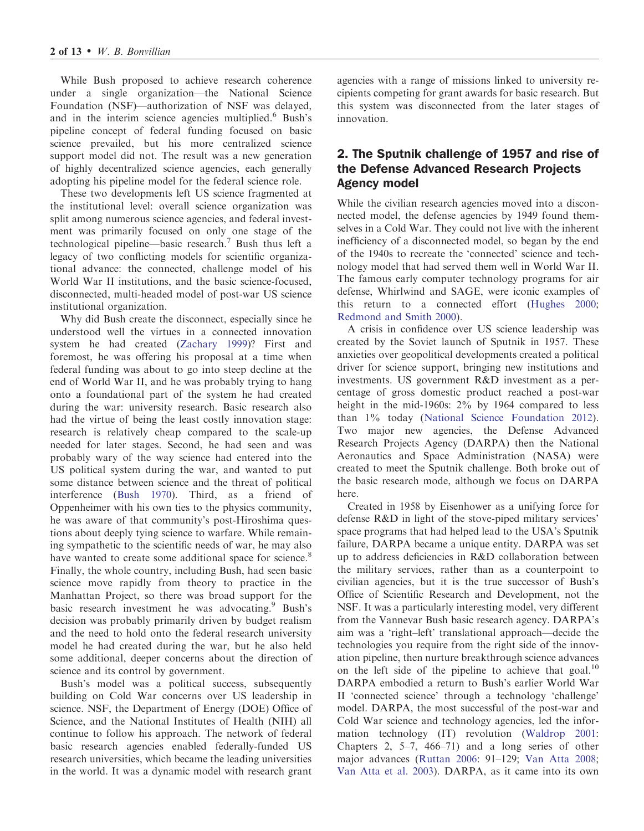While Bush proposed to achieve research coherence under a single organization—the National Science Foundation (NSF)—authorization of NSF was delayed, and in the interim science agencies multiplied.<sup>6</sup> Bush's pipeline concept of federal funding focused on basic science prevailed, but his more centralized science support model did not. The result was a new generation of highly decentralized science agencies, each generally adopting his pipeline model for the federal science role.

These two developments left US science fragmented at the institutional level: overall science organization was split among numerous science agencies, and federal investment was primarily focused on only one stage of the technological pipeline—basic research.<sup>7</sup> Bush thus left a legacy of two conflicting models for scientific organizational advance: the connected, challenge model of his World War II institutions, and the basic science-focused, disconnected, multi-headed model of post-war US science institutional organization.

Why did Bush create the disconnect, especially since he understood well the virtues in a connected innovation system he had created [\(Zachary 1999](#page-12-0))? First and foremost, he was offering his proposal at a time when federal funding was about to go into steep decline at the end of World War II, and he was probably trying to hang onto a foundational part of the system he had created during the war: university research. Basic research also had the virtue of being the least costly innovation stage: research is relatively cheap compared to the scale-up needed for later stages. Second, he had seen and was probably wary of the way science had entered into the US political system during the war, and wanted to put some distance between science and the threat of political interference [\(Bush 1970](#page-10-0)). Third, as a friend of Oppenheimer with his own ties to the physics community, he was aware of that community's post-Hiroshima questions about deeply tying science to warfare. While remaining sympathetic to the scientific needs of war, he may also have wanted to create some additional space for science.<sup>8</sup> Finally, the whole country, including Bush, had seen basic science move rapidly from theory to practice in the Manhattan Project, so there was broad support for the basic research investment he was advocating.<sup>9</sup> Bush's decision was probably primarily driven by budget realism and the need to hold onto the federal research university model he had created during the war, but he also held some additional, deeper concerns about the direction of science and its control by government.

Bush's model was a political success, subsequently building on Cold War concerns over US leadership in science. NSF, the Department of Energy (DOE) Office of Science, and the National Institutes of Health (NIH) all continue to follow his approach. The network of federal basic research agencies enabled federally-funded US research universities, which became the leading universities in the world. It was a dynamic model with research grant

agencies with a range of missions linked to university recipients competing for grant awards for basic research. But this system was disconnected from the later stages of innovation.

# 2. The Sputnik challenge of 1957 and rise of the Defense Advanced Research Projects Agency model

While the civilian research agencies moved into a disconnected model, the defense agencies by 1949 found themselves in a Cold War. They could not live with the inherent inefficiency of a disconnected model, so began by the end of the 1940s to recreate the 'connected' science and technology model that had served them well in World War II. The famous early computer technology programs for air defense, Whirlwind and SAGE, were iconic examples of this return to a connected effort ([Hughes 2000](#page-11-0); [Redmond and Smith 2000](#page-11-0)).

A crisis in confidence over US science leadership was created by the Soviet launch of Sputnik in 1957. These anxieties over geopolitical developments created a political driver for science support, bringing new institutions and investments. US government R&D investment as a percentage of gross domestic product reached a post-war height in the mid-1960s: 2% by 1964 compared to less than 1% today [\(National Science Foundation 2012\)](#page-11-0). Two major new agencies, the Defense Advanced Research Projects Agency (DARPA) then the National Aeronautics and Space Administration (NASA) were created to meet the Sputnik challenge. Both broke out of the basic research mode, although we focus on DARPA here.

Created in 1958 by Eisenhower as a unifying force for defense R&D in light of the stove-piped military services' space programs that had helped lead to the USA's Sputnik failure, DARPA became a unique entity. DARPA was set up to address deficiencies in R&D collaboration between the military services, rather than as a counterpoint to civilian agencies, but it is the true successor of Bush's Office of Scientific Research and Development, not the NSF. It was a particularly interesting model, very different from the Vannevar Bush basic research agency. DARPA's aim was a 'right–left' translational approach—decide the technologies you require from the right side of the innovation pipeline, then nurture breakthrough science advances on the left side of the pipeline to achieve that goal.<sup>10</sup> DARPA embodied a return to Bush's earlier World War II 'connected science' through a technology 'challenge' model. DARPA, the most successful of the post-war and Cold War science and technology agencies, led the information technology (IT) revolution ([Waldrop 2001](#page-12-0): Chapters 2, 5–7, 466–71) and a long series of other major advances [\(Ruttan 2006:](#page-11-0) 91–129; [Van Atta 2008](#page-12-0); [Van Atta et al. 2003](#page-12-0)). DARPA, as it came into its own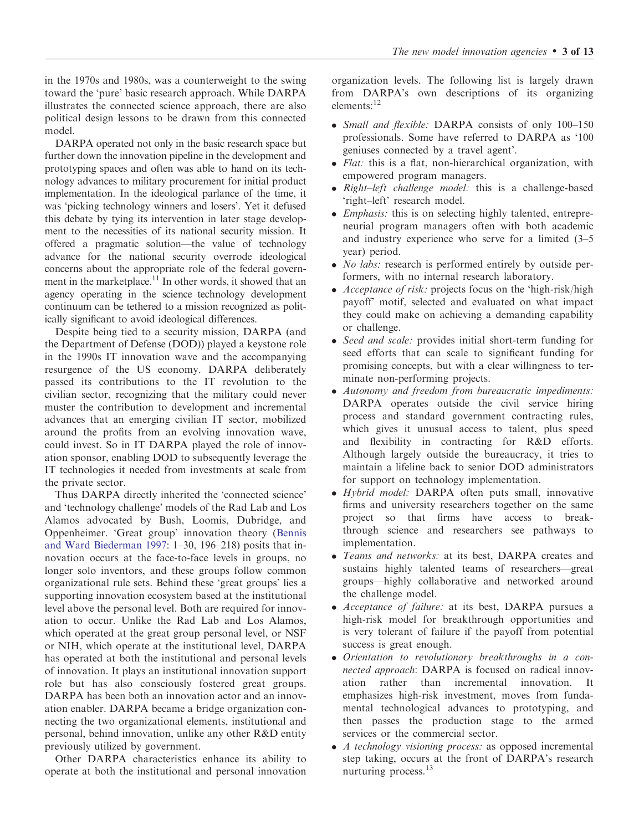in the 1970s and 1980s, was a counterweight to the swing toward the 'pure' basic research approach. While DARPA illustrates the connected science approach, there are also political design lessons to be drawn from this connected model.

DARPA operated not only in the basic research space but further down the innovation pipeline in the development and prototyping spaces and often was able to hand on its technology advances to military procurement for initial product implementation. In the ideological parlance of the time, it was 'picking technology winners and losers'. Yet it defused this debate by tying its intervention in later stage development to the necessities of its national security mission. It offered a pragmatic solution—the value of technology advance for the national security overrode ideological concerns about the appropriate role of the federal government in the marketplace.<sup>11</sup> In other words, it showed that an agency operating in the science–technology development continuum can be tethered to a mission recognized as politically significant to avoid ideological differences.

Despite being tied to a security mission, DARPA (and the Department of Defense (DOD)) played a keystone role in the 1990s IT innovation wave and the accompanying resurgence of the US economy. DARPA deliberately passed its contributions to the IT revolution to the civilian sector, recognizing that the military could never muster the contribution to development and incremental advances that an emerging civilian IT sector, mobilized around the profits from an evolving innovation wave, could invest. So in IT DARPA played the role of innovation sponsor, enabling DOD to subsequently leverage the IT technologies it needed from investments at scale from the private sector.

Thus DARPA directly inherited the 'connected science' and 'technology challenge' models of the Rad Lab and Los Alamos advocated by Bush, Loomis, Dubridge, and Oppenheimer. 'Great group' innovation theory ([Bennis](#page-10-0) [and Ward Biederman 1997](#page-10-0): 1–30, 196–218) posits that innovation occurs at the face-to-face levels in groups, no longer solo inventors, and these groups follow common organizational rule sets. Behind these 'great groups' lies a supporting innovation ecosystem based at the institutional level above the personal level. Both are required for innovation to occur. Unlike the Rad Lab and Los Alamos, which operated at the great group personal level, or NSF or NIH, which operate at the institutional level, DARPA has operated at both the institutional and personal levels of innovation. It plays an institutional innovation support role but has also consciously fostered great groups. DARPA has been both an innovation actor and an innovation enabler. DARPA became a bridge organization connecting the two organizational elements, institutional and personal, behind innovation, unlike any other R&D entity previously utilized by government.

Other DARPA characteristics enhance its ability to operate at both the institutional and personal innovation

organization levels. The following list is largely drawn from DARPA's own descriptions of its organizing elements:<sup>12</sup>

- . Small and flexible: DARPA consists of only 100–150 professionals. Some have referred to DARPA as '100 geniuses connected by a travel agent'.
- *Flat:* this is a flat, non-hierarchical organization, with empowered program managers.
- Right–left challenge model: this is a challenge-based 'right–left' research model.
- *Emphasis*: this is on selecting highly talented, entrepreneurial program managers often with both academic and industry experience who serve for a limited (3–5 year) period.
- *No labs:* research is performed entirely by outside performers, with no internal research laboratory.
- . Acceptance of risk: projects focus on the 'high-risk/high payoff' motif, selected and evaluated on what impact they could make on achieving a demanding capability or challenge.
- . Seed and scale: provides initial short-term funding for seed efforts that can scale to significant funding for promising concepts, but with a clear willingness to terminate non-performing projects.
- . Autonomy and freedom from bureaucratic impediments: DARPA operates outside the civil service hiring process and standard government contracting rules, which gives it unusual access to talent, plus speed and flexibility in contracting for R&D efforts. Although largely outside the bureaucracy, it tries to maintain a lifeline back to senior DOD administrators for support on technology implementation.
- . Hybrid model: DARPA often puts small, innovative firms and university researchers together on the same project so that firms have access to breakthrough science and researchers see pathways to implementation.
- . Teams and networks: at its best, DARPA creates and sustains highly talented teams of researchers—great groups—highly collaborative and networked around the challenge model.
- . Acceptance of failure: at its best, DARPA pursues a high-risk model for breakthrough opportunities and is very tolerant of failure if the payoff from potential success is great enough.
- . Orientation to revolutionary breakthroughs in a connected approach: DARPA is focused on radical innovation rather than incremental innovation. It emphasizes high-risk investment, moves from fundamental technological advances to prototyping, and then passes the production stage to the armed services or the commercial sector.
- A technology visioning process: as opposed incremental step taking, occurs at the front of DARPA's research nurturing process. $^{13}$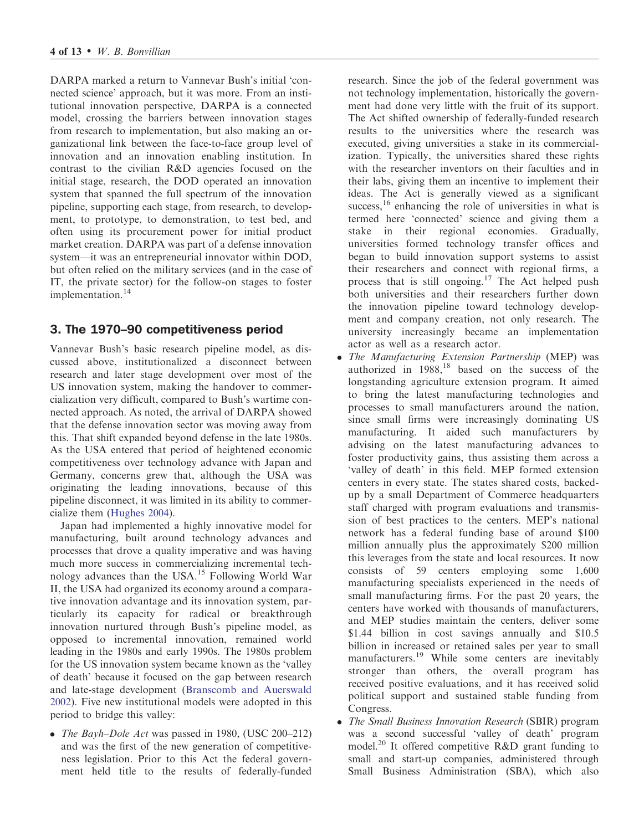DARPA marked a return to Vannevar Bush's initial 'connected science' approach, but it was more. From an institutional innovation perspective, DARPA is a connected model, crossing the barriers between innovation stages from research to implementation, but also making an organizational link between the face-to-face group level of innovation and an innovation enabling institution. In contrast to the civilian R&D agencies focused on the initial stage, research, the DOD operated an innovation system that spanned the full spectrum of the innovation pipeline, supporting each stage, from research, to development, to prototype, to demonstration, to test bed, and often using its procurement power for initial product market creation. DARPA was part of a defense innovation system—it was an entrepreneurial innovator within DOD, but often relied on the military services (and in the case of IT, the private sector) for the follow-on stages to foster implementation.<sup>14</sup>

# 3. The 1970–90 competitiveness period

Vannevar Bush's basic research pipeline model, as discussed above, institutionalized a disconnect between research and later stage development over most of the US innovation system, making the handover to commercialization very difficult, compared to Bush's wartime connected approach. As noted, the arrival of DARPA showed that the defense innovation sector was moving away from this. That shift expanded beyond defense in the late 1980s. As the USA entered that period of heightened economic competitiveness over technology advance with Japan and Germany, concerns grew that, although the USA was originating the leading innovations, because of this pipeline disconnect, it was limited in its ability to commercialize them [\(Hughes 2004\)](#page-11-0).

Japan had implemented a highly innovative model for manufacturing, built around technology advances and processes that drove a quality imperative and was having much more success in commercializing incremental technology advances than the USA.<sup>15</sup> Following World War II, the USA had organized its economy around a comparative innovation advantage and its innovation system, particularly its capacity for radical or breakthrough innovation nurtured through Bush's pipeline model, as opposed to incremental innovation, remained world leading in the 1980s and early 1990s. The 1980s problem for the US innovation system became known as the 'valley of death' because it focused on the gap between research and late-stage development ([Branscomb and Auerswald](#page-10-0) [2002\)](#page-10-0). Five new institutional models were adopted in this period to bridge this valley:

• The Bayh–Dole Act was passed in 1980, (USC 200–212) and was the first of the new generation of competitiveness legislation. Prior to this Act the federal government held title to the results of federally-funded research. Since the job of the federal government was not technology implementation, historically the government had done very little with the fruit of its support. The Act shifted ownership of federally-funded research results to the universities where the research was executed, giving universities a stake in its commercialization. Typically, the universities shared these rights with the researcher inventors on their faculties and in their labs, giving them an incentive to implement their ideas. The Act is generally viewed as a significant success,<sup>16</sup> enhancing the role of universities in what is termed here 'connected' science and giving them a stake in their regional economies. Gradually, universities formed technology transfer offices and began to build innovation support systems to assist their researchers and connect with regional firms, a process that is still ongoing.<sup>17</sup> The Act helped push both universities and their researchers further down the innovation pipeline toward technology development and company creation, not only research. The university increasingly became an implementation actor as well as a research actor.

- . The Manufacturing Extension Partnership (MEP) was authorized in 1988,<sup>18</sup> based on the success of the longstanding agriculture extension program. It aimed to bring the latest manufacturing technologies and processes to small manufacturers around the nation, since small firms were increasingly dominating US manufacturing. It aided such manufacturers by advising on the latest manufacturing advances to foster productivity gains, thus assisting them across a 'valley of death' in this field. MEP formed extension centers in every state. The states shared costs, backedup by a small Department of Commerce headquarters staff charged with program evaluations and transmission of best practices to the centers. MEP's national network has a federal funding base of around \$100 million annually plus the approximately \$200 million this leverages from the state and local resources. It now consists of 59 centers employing some 1,600 manufacturing specialists experienced in the needs of small manufacturing firms. For the past 20 years, the centers have worked with thousands of manufacturers, and MEP studies maintain the centers, deliver some \$1.44 billion in cost savings annually and \$10.5 billion in increased or retained sales per year to small manufacturers.<sup>19</sup> While some centers are inevitably stronger than others, the overall program has received positive evaluations, and it has received solid political support and sustained stable funding from Congress.
- . The Small Business Innovation Research (SBIR) program was a second successful 'valley of death' program model.<sup>20</sup> It offered competitive R&D grant funding to small and start-up companies, administered through Small Business Administration (SBA), which also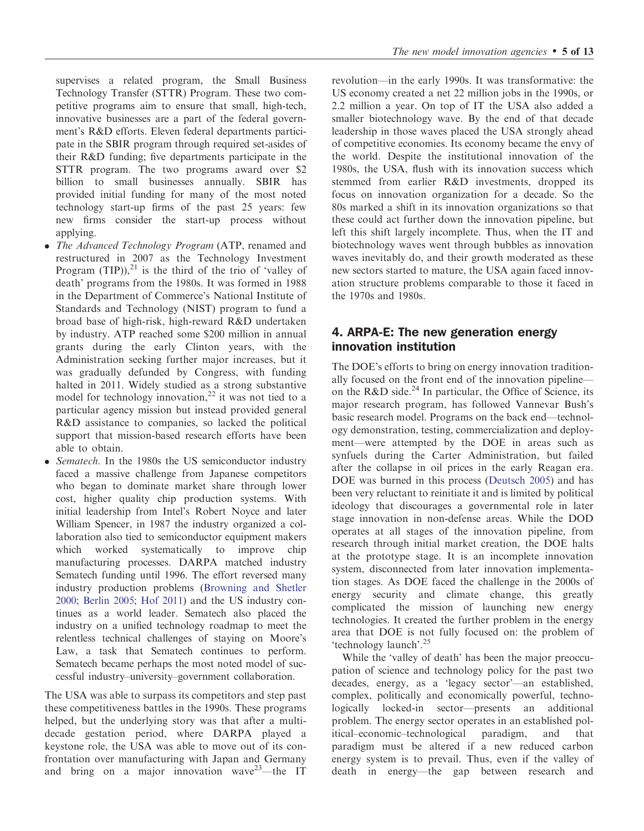supervises a related program, the Small Business Technology Transfer (STTR) Program. These two competitive programs aim to ensure that small, high-tech, innovative businesses are a part of the federal government's R&D efforts. Eleven federal departments participate in the SBIR program through required set-asides of their R&D funding; five departments participate in the STTR program. The two programs award over \$2 billion to small businesses annually. SBIR has provided initial funding for many of the most noted technology start-up firms of the past 25 years: few new firms consider the start-up process without applying.

- . The Advanced Technology Program (ATP, renamed and restructured in 2007 as the Technology Investment Program  $(TIP)$ ,<sup>21</sup> is the third of the trio of 'valley of death' programs from the 1980s. It was formed in 1988 in the Department of Commerce's National Institute of Standards and Technology (NIST) program to fund a broad base of high-risk, high-reward R&D undertaken by industry. ATP reached some \$200 million in annual grants during the early Clinton years, with the Administration seeking further major increases, but it was gradually defunded by Congress, with funding halted in 2011. Widely studied as a strong substantive model for technology innovation,<sup>22</sup> it was not tied to a particular agency mission but instead provided general R&D assistance to companies, so lacked the political support that mission-based research efforts have been able to obtain.
- . Sematech. In the 1980s the US semiconductor industry faced a massive challenge from Japanese competitors who began to dominate market share through lower cost, higher quality chip production systems. With initial leadership from Intel's Robert Noyce and later William Spencer, in 1987 the industry organized a collaboration also tied to semiconductor equipment makers which worked systematically to improve chip manufacturing processes. DARPA matched industry Sematech funding until 1996. The effort reversed many industry production problems ([Browning and Shetler](#page-10-0) [2000;](#page-10-0) [Berlin 2005;](#page-10-0) [Hof 2011](#page-11-0)) and the US industry continues as a world leader. Sematech also placed the industry on a unified technology roadmap to meet the relentless technical challenges of staying on Moore's Law, a task that Sematech continues to perform. Sematech became perhaps the most noted model of successful industry–university–government collaboration.

The USA was able to surpass its competitors and step past these competitiveness battles in the 1990s. These programs helped, but the underlying story was that after a multidecade gestation period, where DARPA played a keystone role, the USA was able to move out of its confrontation over manufacturing with Japan and Germany and bring on a major innovation wave<sup>23</sup>—the IT

revolution—in the early 1990s. It was transformative: the US economy created a net 22 million jobs in the 1990s, or 2.2 million a year. On top of IT the USA also added a smaller biotechnology wave. By the end of that decade leadership in those waves placed the USA strongly ahead of competitive economies. Its economy became the envy of the world. Despite the institutional innovation of the 1980s, the USA, flush with its innovation success which stemmed from earlier R&D investments, dropped its focus on innovation organization for a decade. So the 80s marked a shift in its innovation organizations so that these could act further down the innovation pipeline, but left this shift largely incomplete. Thus, when the IT and biotechnology waves went through bubbles as innovation waves inevitably do, and their growth moderated as these new sectors started to mature, the USA again faced innovation structure problems comparable to those it faced in the 1970s and 1980s.

## 4. ARPA-E: The new generation energy innovation institution

The DOE's efforts to bring on energy innovation traditionally focused on the front end of the innovation pipeline on the R&D side.<sup>24</sup> In particular, the Office of Science, its major research program, has followed Vannevar Bush's basic research model. Programs on the back end—technology demonstration, testing, commercialization and deployment—were attempted by the DOE in areas such as synfuels during the Carter Administration, but failed after the collapse in oil prices in the early Reagan era. DOE was burned in this process ([Deutsch 2005\)](#page-11-0) and has been very reluctant to reinitiate it and is limited by political ideology that discourages a governmental role in later stage innovation in non-defense areas. While the DOD operates at all stages of the innovation pipeline, from research through initial market creation, the DOE halts at the prototype stage. It is an incomplete innovation system, disconnected from later innovation implementation stages. As DOE faced the challenge in the 2000s of energy security and climate change, this greatly complicated the mission of launching new energy technologies. It created the further problem in the energy area that DOE is not fully focused on: the problem of 'technology launch'.<sup>25</sup>

While the 'valley of death' has been the major preoccupation of science and technology policy for the past two decades, energy, as a 'legacy sector'—an established, complex, politically and economically powerful, technologically locked-in sector—presents an additional problem. The energy sector operates in an established political–economic–technological paradigm, and that paradigm must be altered if a new reduced carbon energy system is to prevail. Thus, even if the valley of death in energy—the gap between research and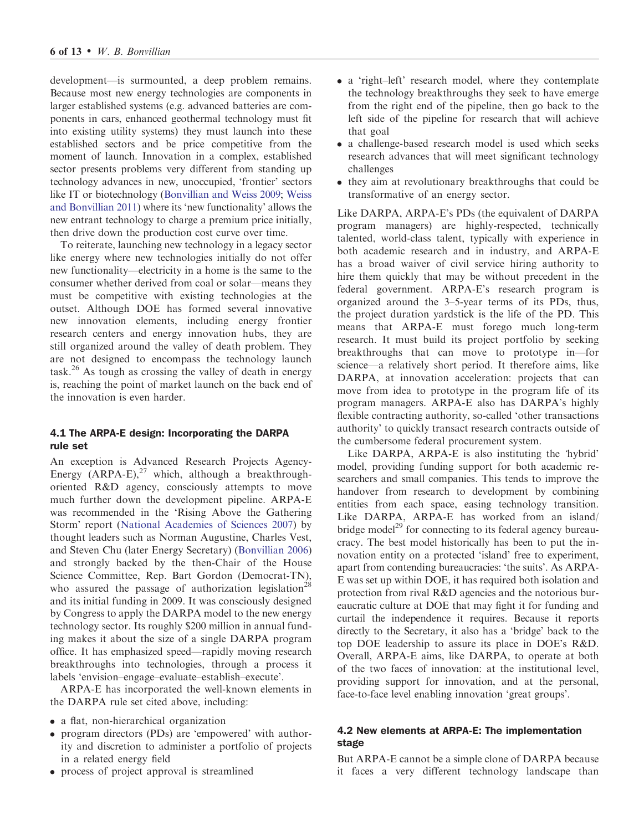development—is surmounted, a deep problem remains. Because most new energy technologies are components in larger established systems (e.g. advanced batteries are components in cars, enhanced geothermal technology must fit into existing utility systems) they must launch into these established sectors and be price competitive from the moment of launch. Innovation in a complex, established sector presents problems very different from standing up technology advances in new, unoccupied, 'frontier' sectors like IT or biotechnology [\(Bonvillian and Weiss 2009;](#page-10-0) [Weiss](#page-12-0) [and Bonvillian 2011\)](#page-12-0) where its 'new functionality' allows the new entrant technology to charge a premium price initially, then drive down the production cost curve over time.

To reiterate, launching new technology in a legacy sector like energy where new technologies initially do not offer new functionality—electricity in a home is the same to the consumer whether derived from coal or solar—means they must be competitive with existing technologies at the outset. Although DOE has formed several innovative new innovation elements, including energy frontier research centers and energy innovation hubs, they are still organized around the valley of death problem. They are not designed to encompass the technology launch task.<sup>26</sup> As tough as crossing the valley of death in energy is, reaching the point of market launch on the back end of the innovation is even harder.

#### 4.1 The ARPA-E design: Incorporating the DARPA rule set

An exception is Advanced Research Projects Agency-Energy  $(ARPA-E)$ ,<sup>27</sup> which, although a breakthroughoriented R&D agency, consciously attempts to move much further down the development pipeline. ARPA-E was recommended in the 'Rising Above the Gathering Storm' report ([National Academies of Sciences 2007\)](#page-11-0) by thought leaders such as Norman Augustine, Charles Vest, and Steven Chu (later Energy Secretary) ([Bonvillian 2006](#page-10-0)) and strongly backed by the then-Chair of the House Science Committee, Rep. Bart Gordon (Democrat-TN), who assured the passage of authorization legislation<sup>28</sup> and its initial funding in 2009. It was consciously designed by Congress to apply the DARPA model to the new energy technology sector. Its roughly \$200 million in annual funding makes it about the size of a single DARPA program office. It has emphasized speed—rapidly moving research breakthroughs into technologies, through a process it labels 'envision–engage–evaluate–establish–execute'.

ARPA-E has incorporated the well-known elements in the DARPA rule set cited above, including:

- . a flat, non-hierarchical organization
- . program directors (PDs) are 'empowered' with authority and discretion to administer a portfolio of projects in a related energy field
- . process of project approval is streamlined
- . a 'right–left' research model, where they contemplate the technology breakthroughs they seek to have emerge from the right end of the pipeline, then go back to the left side of the pipeline for research that will achieve that goal
- . a challenge-based research model is used which seeks research advances that will meet significant technology challenges
- . they aim at revolutionary breakthroughs that could be transformative of an energy sector.

Like DARPA, ARPA-E's PDs (the equivalent of DARPA program managers) are highly-respected, technically talented, world-class talent, typically with experience in both academic research and in industry, and ARPA-E has a broad waiver of civil service hiring authority to hire them quickly that may be without precedent in the federal government. ARPA-E's research program is organized around the 3–5-year terms of its PDs, thus, the project duration yardstick is the life of the PD. This means that ARPA-E must forego much long-term research. It must build its project portfolio by seeking breakthroughs that can move to prototype in—for science—a relatively short period. It therefore aims, like DARPA, at innovation acceleration: projects that can move from idea to prototype in the program life of its program managers. ARPA-E also has DARPA's highly flexible contracting authority, so-called 'other transactions authority' to quickly transact research contracts outside of the cumbersome federal procurement system.

Like DARPA, ARPA-E is also instituting the 'hybrid' model, providing funding support for both academic researchers and small companies. This tends to improve the handover from research to development by combining entities from each space, easing technology transition. Like DARPA, ARPA-E has worked from an island/ bridge model<sup>29</sup> for connecting to its federal agency bureaucracy. The best model historically has been to put the innovation entity on a protected 'island' free to experiment, apart from contending bureaucracies: 'the suits'. As ARPA-E was set up within DOE, it has required both isolation and protection from rival R&D agencies and the notorious bureaucratic culture at DOE that may fight it for funding and curtail the independence it requires. Because it reports directly to the Secretary, it also has a 'bridge' back to the top DOE leadership to assure its place in DOE's R&D. Overall, ARPA-E aims, like DARPA, to operate at both of the two faces of innovation: at the institutional level, providing support for innovation, and at the personal, face-to-face level enabling innovation 'great groups'.

#### 4.2 New elements at ARPA-E: The implementation stage

But ARPA-E cannot be a simple clone of DARPA because it faces a very different technology landscape than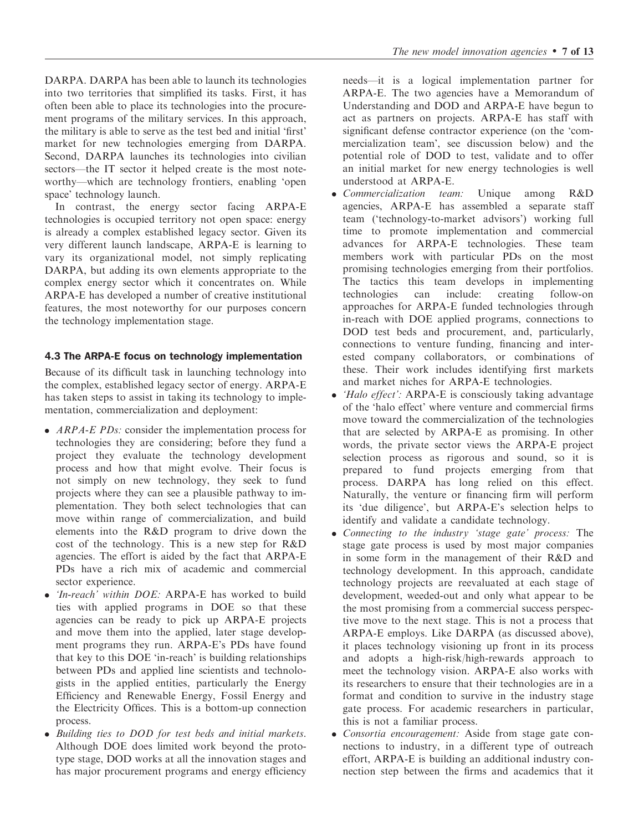DARPA. DARPA has been able to launch its technologies into two territories that simplified its tasks. First, it has often been able to place its technologies into the procurement programs of the military services. In this approach, the military is able to serve as the test bed and initial 'first' market for new technologies emerging from DARPA. Second, DARPA launches its technologies into civilian sectors—the IT sector it helped create is the most noteworthy—which are technology frontiers, enabling 'open space' technology launch.

In contrast, the energy sector facing ARPA-E technologies is occupied territory not open space: energy is already a complex established legacy sector. Given its very different launch landscape, ARPA-E is learning to vary its organizational model, not simply replicating DARPA, but adding its own elements appropriate to the complex energy sector which it concentrates on. While ARPA-E has developed a number of creative institutional features, the most noteworthy for our purposes concern the technology implementation stage.

## 4.3 The ARPA-E focus on technology implementation

Because of its difficult task in launching technology into the complex, established legacy sector of energy. ARPA-E has taken steps to assist in taking its technology to implementation, commercialization and deployment:

- $\bullet$  *ARPA-E PDs:* consider the implementation process for technologies they are considering; before they fund a project they evaluate the technology development process and how that might evolve. Their focus is not simply on new technology, they seek to fund projects where they can see a plausible pathway to implementation. They both select technologies that can move within range of commercialization, and build elements into the R&D program to drive down the cost of the technology. This is a new step for R&D agencies. The effort is aided by the fact that ARPA-E PDs have a rich mix of academic and commercial sector experience.
- . 'In-reach' within DOE: ARPA-E has worked to build ties with applied programs in DOE so that these agencies can be ready to pick up ARPA-E projects and move them into the applied, later stage development programs they run. ARPA-E's PDs have found that key to this DOE 'in-reach' is building relationships between PDs and applied line scientists and technologists in the applied entities, particularly the Energy Efficiency and Renewable Energy, Fossil Energy and the Electricity Offices. This is a bottom-up connection process.
- . Building ties to DOD for test beds and initial markets. Although DOE does limited work beyond the prototype stage, DOD works at all the innovation stages and has major procurement programs and energy efficiency

needs—it is a logical implementation partner for ARPA-E. The two agencies have a Memorandum of Understanding and DOD and ARPA-E have begun to act as partners on projects. ARPA-E has staff with significant defense contractor experience (on the 'commercialization team', see discussion below) and the potential role of DOD to test, validate and to offer an initial market for new energy technologies is well understood at ARPA-E.

- *Commercialization team:* Unique among R&D agencies, ARPA-E has assembled a separate staff team ('technology-to-market advisors') working full time to promote implementation and commercial advances for ARPA-E technologies. These team members work with particular PDs on the most promising technologies emerging from their portfolios. The tactics this team develops in implementing technologies can include: creating follow-on approaches for ARPA-E funded technologies through in-reach with DOE applied programs, connections to DOD test beds and procurement, and, particularly, connections to venture funding, financing and interested company collaborators, or combinations of these. Their work includes identifying first markets and market niches for ARPA-E technologies.
- . 'Halo effect': ARPA-E is consciously taking advantage of the 'halo effect' where venture and commercial firms move toward the commercialization of the technologies that are selected by ARPA-E as promising. In other words, the private sector views the ARPA-E project selection process as rigorous and sound, so it is prepared to fund projects emerging from that process. DARPA has long relied on this effect. Naturally, the venture or financing firm will perform its 'due diligence', but ARPA-E's selection helps to identify and validate a candidate technology.
- . Connecting to the industry 'stage gate' process: The stage gate process is used by most major companies in some form in the management of their R&D and technology development. In this approach, candidate technology projects are reevaluated at each stage of development, weeded-out and only what appear to be the most promising from a commercial success perspective move to the next stage. This is not a process that ARPA-E employs. Like DARPA (as discussed above), it places technology visioning up front in its process and adopts a high-risk/high-rewards approach to meet the technology vision. ARPA-E also works with its researchers to ensure that their technologies are in a format and condition to survive in the industry stage gate process. For academic researchers in particular, this is not a familiar process.
- . Consortia encouragement: Aside from stage gate connections to industry, in a different type of outreach effort, ARPA-E is building an additional industry connection step between the firms and academics that it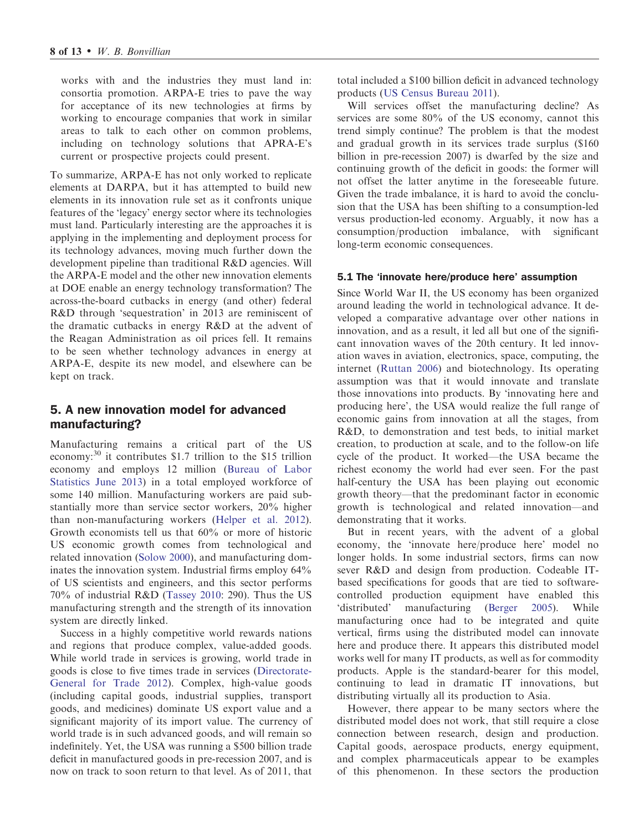works with and the industries they must land in: consortia promotion. ARPA-E tries to pave the way for acceptance of its new technologies at firms by working to encourage companies that work in similar areas to talk to each other on common problems, including on technology solutions that APRA-E's current or prospective projects could present.

To summarize, ARPA-E has not only worked to replicate elements at DARPA, but it has attempted to build new elements in its innovation rule set as it confronts unique features of the 'legacy' energy sector where its technologies must land. Particularly interesting are the approaches it is applying in the implementing and deployment process for its technology advances, moving much further down the development pipeline than traditional R&D agencies. Will the ARPA-E model and the other new innovation elements at DOE enable an energy technology transformation? The across-the-board cutbacks in energy (and other) federal R&D through 'sequestration' in 2013 are reminiscent of the dramatic cutbacks in energy R&D at the advent of the Reagan Administration as oil prices fell. It remains to be seen whether technology advances in energy at ARPA-E, despite its new model, and elsewhere can be kept on track.

## 5. A new innovation model for advanced manufacturing?

Manufacturing remains a critical part of the US economy:<sup>30</sup> it contributes \$1.7 trillion to the \$15 trillion economy and employs 12 million [\(Bureau of Labor](#page-10-0) [Statistics June 2013\)](#page-10-0) in a total employed workforce of some 140 million. Manufacturing workers are paid substantially more than service sector workers, 20% higher than non-manufacturing workers [\(Helper et al. 2012\)](#page-11-0). Growth economists tell us that 60% or more of historic US economic growth comes from technological and related innovation ([Solow 2000\)](#page-11-0), and manufacturing dominates the innovation system. Industrial firms employ 64% of US scientists and engineers, and this sector performs 70% of industrial R&D [\(Tassey 2010](#page-11-0): 290). Thus the US manufacturing strength and the strength of its innovation system are directly linked.

Success in a highly competitive world rewards nations and regions that produce complex, value-added goods. While world trade in services is growing, world trade in goods is close to five times trade in services ([Directorate-](#page-11-0)[General for Trade 2012\)](#page-11-0). Complex, high-value goods (including capital goods, industrial supplies, transport goods, and medicines) dominate US export value and a significant majority of its import value. The currency of world trade is in such advanced goods, and will remain so indefinitely. Yet, the USA was running a \$500 billion trade deficit in manufactured goods in pre-recession 2007, and is now on track to soon return to that level. As of 2011, that

total included a \$100 billion deficit in advanced technology products ([US Census Bureau 2011](#page-11-0)).

Will services offset the manufacturing decline? As services are some 80% of the US economy, cannot this trend simply continue? The problem is that the modest and gradual growth in its services trade surplus (\$160 billion in pre-recession 2007) is dwarfed by the size and continuing growth of the deficit in goods: the former will not offset the latter anytime in the foreseeable future. Given the trade imbalance, it is hard to avoid the conclusion that the USA has been shifting to a consumption-led versus production-led economy. Arguably, it now has a consumption/production imbalance, with significant long-term economic consequences.

#### 5.1 The 'innovate here/produce here' assumption

Since World War II, the US economy has been organized around leading the world in technological advance. It developed a comparative advantage over other nations in innovation, and as a result, it led all but one of the significant innovation waves of the 20th century. It led innovation waves in aviation, electronics, space, computing, the internet ([Ruttan 2006\)](#page-11-0) and biotechnology. Its operating assumption was that it would innovate and translate those innovations into products. By 'innovating here and producing here', the USA would realize the full range of economic gains from innovation at all the stages, from R&D, to demonstration and test beds, to initial market creation, to production at scale, and to the follow-on life cycle of the product. It worked—the USA became the richest economy the world had ever seen. For the past half-century the USA has been playing out economic growth theory—that the predominant factor in economic growth is technological and related innovation—and demonstrating that it works.

But in recent years, with the advent of a global economy, the 'innovate here/produce here' model no longer holds. In some industrial sectors, firms can now sever R&D and design from production. Codeable ITbased specifications for goods that are tied to softwarecontrolled production equipment have enabled this 'distributed' manufacturing [\(Berger 2005](#page-10-0)). While manufacturing once had to be integrated and quite vertical, firms using the distributed model can innovate here and produce there. It appears this distributed model works well for many IT products, as well as for commodity products. Apple is the standard-bearer for this model, continuing to lead in dramatic IT innovations, but distributing virtually all its production to Asia.

However, there appear to be many sectors where the distributed model does not work, that still require a close connection between research, design and production. Capital goods, aerospace products, energy equipment, and complex pharmaceuticals appear to be examples of this phenomenon. In these sectors the production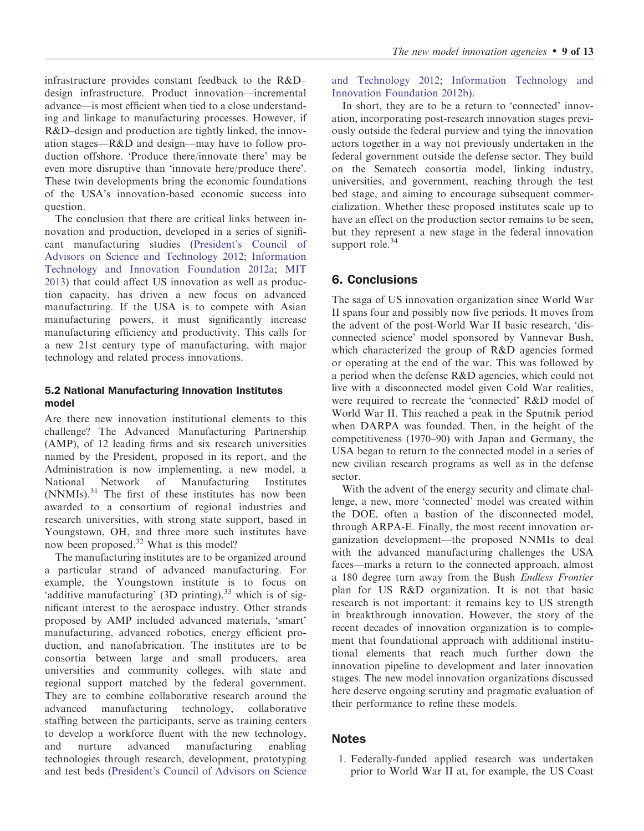infrastructure provides constant feedback to the R&D– design infrastructure. Product innovation—incremental advance—is most efficient when tied to a close understanding and linkage to manufacturing processes. However, if R&D–design and production are tightly linked, the innovation stages—R&D and design—may have to follow production offshore. 'Produce there/innovate there' may be even more disruptive than 'innovate here/produce there'. These twin developments bring the economic foundations of the USA's innovation-based economic success into question.

The conclusion that there are critical links between innovation and production, developed in a series of significant manufacturing studies [\(President's Council of](#page-11-0) [Advisors on Science and Technology 2012;](#page-11-0) [Information](#page-11-0) [Technology and Innovation Foundation 2012a](#page-11-0); [MIT](#page-11-0) [2013](#page-11-0)) that could affect US innovation as well as production capacity, has driven a new focus on advanced manufacturing. If the USA is to compete with Asian manufacturing powers, it must significantly increase manufacturing efficiency and productivity. This calls for a new 21st century type of manufacturing, with major technology and related process innovations.

#### 5.2 National Manufacturing Innovation Institutes model

Are there new innovation institutional elements to this challenge? The Advanced Manufacturing Partnership (AMP), of 12 leading firms and six research universities named by the President, proposed in its report, and the Administration is now implementing, a new model, a National Network of Manufacturing Institutes  $(NNMIs).$ <sup>31</sup> The first of these institutes has now been awarded to a consortium of regional industries and research universities, with strong state support, based in Youngstown, OH, and three more such institutes have now been proposed.<sup>32</sup> What is this model?

The manufacturing institutes are to be organized around a particular strand of advanced manufacturing. For example, the Youngstown institute is to focus on 'additive manufacturing' (3D printing), $33$  which is of significant interest to the aerospace industry. Other strands proposed by AMP included advanced materials, 'smart' manufacturing, advanced robotics, energy efficient production, and nanofabrication. The institutes are to be consortia between large and small producers, area universities and community colleges, with state and regional support matched by the federal government. They are to combine collaborative research around the advanced manufacturing technology, collaborative staffing between the participants, serve as training centers to develop a workforce fluent with the new technology, and nurture advanced manufacturing enabling technologies through research, development, prototyping and test beds [\(President's Council of Advisors on Science](#page-11-0)

### [and Technology 2012](#page-11-0); [Information Technology and](#page-11-0) [Innovation Foundation 2012b\)](#page-11-0).

In short, they are to be a return to 'connected' innovation, incorporating post-research innovation stages previously outside the federal purview and tying the innovation actors together in a way not previously undertaken in the federal government outside the defense sector. They build on the Sematech consortia model, linking industry, universities, and government, reaching through the test bed stage, and aiming to encourage subsequent commercialization. Whether these proposed institutes scale up to have an effect on the production sector remains to be seen, but they represent a new stage in the federal innovation support role. $34$ 

# 6. Conclusions

The saga of US innovation organization since World War II spans four and possibly now five periods. It moves from the advent of the post-World War II basic research, 'disconnected science' model sponsored by Vannevar Bush, which characterized the group of R&D agencies formed or operating at the end of the war. This was followed by a period when the defense R&D agencies, which could not live with a disconnected model given Cold War realities, were required to recreate the 'connected' R&D model of World War II. This reached a peak in the Sputnik period when DARPA was founded. Then, in the height of the competitiveness (1970–90) with Japan and Germany, the USA began to return to the connected model in a series of new civilian research programs as well as in the defense sector.

With the advent of the energy security and climate challenge, a new, more 'connected' model was created within the DOE, often a bastion of the disconnected model, through ARPA-E. Finally, the most recent innovation organization development—the proposed NNMIs to deal with the advanced manufacturing challenges the USA faces—marks a return to the connected approach, almost a 180 degree turn away from the Bush Endless Frontier plan for US R&D organization. It is not that basic research is not important: it remains key to US strength in breakthrough innovation. However, the story of the recent decades of innovation organization is to complement that foundational approach with additional institutional elements that reach much further down the innovation pipeline to development and later innovation stages. The new model innovation organizations discussed here deserve ongoing scrutiny and pragmatic evaluation of their performance to refine these models.

## Notes

1. Federally-funded applied research was undertaken prior to World War II at, for example, the US Coast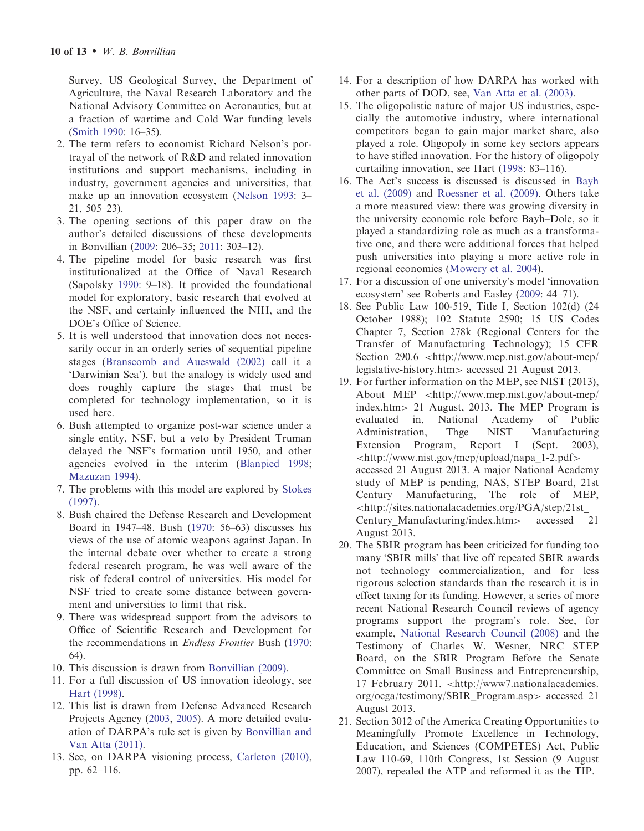Survey, US Geological Survey, the Department of Agriculture, the Naval Research Laboratory and the National Advisory Committee on Aeronautics, but at a fraction of wartime and Cold War funding levels ([Smith 1990](#page-11-0): 16–35).

- 2. The term refers to economist Richard Nelson's portrayal of the network of R&D and related innovation institutions and support mechanisms, including in industry, government agencies and universities, that make up an innovation ecosystem ([Nelson 1993](#page-11-0): 3– 21, 505–23).
- 3. The opening sections of this paper draw on the author's detailed discussions of these developments in Bonvillian ([2009:](#page-10-0) 206–35; [2011](#page-10-0): 303–12).
- 4. The pipeline model for basic research was first institutionalized at the Office of Naval Research (Sapolsky [1990:](#page-11-0) 9–18). It provided the foundational model for exploratory, basic research that evolved at the NSF, and certainly influenced the NIH, and the DOE's Office of Science.
- 5. It is well understood that innovation does not necessarily occur in an orderly series of sequential pipeline stages ([Branscomb and Aueswald \(2002\)](#page-10-0) call it a 'Darwinian Sea'), but the analogy is widely used and does roughly capture the stages that must be completed for technology implementation, so it is used here.
- 6. Bush attempted to organize post-war science under a single entity, NSF, but a veto by President Truman delayed the NSF's formation until 1950, and other agencies evolved in the interim [\(Blanpied 1998;](#page-10-0) [Mazuzan 1994](#page-11-0)).
- 7. The problems with this model are explored by [Stokes](#page-11-0) [\(1997\)](#page-11-0).
- 8. Bush chaired the Defense Research and Development Board in 1947–48. Bush ([1970:](#page-10-0) 56–63) discusses his views of the use of atomic weapons against Japan. In the internal debate over whether to create a strong federal research program, he was well aware of the risk of federal control of universities. His model for NSF tried to create some distance between government and universities to limit that risk.
- 9. There was widespread support from the advisors to Office of Scientific Research and Development for the recommendations in Endless Frontier Bush [\(1970:](#page-10-0) 64).
- 10. This discussion is drawn from [Bonvillian \(2009\)](#page-10-0).
- 11. For a full discussion of US innovation ideology, see [Hart \(1998\).](#page-11-0)
- 12. This list is drawn from Defense Advanced Research Projects Agency ([2003,](#page-11-0) [2005\)](#page-11-0). A more detailed evaluation of DARPA's rule set is given by [Bonvillian and](#page-10-0) [Van Atta \(2011\).](#page-10-0)
- 13. See, on DARPA visioning process, [Carleton \(2010\),](#page-10-0) pp. 62–116.
- 14. For a description of how DARPA has worked with other parts of DOD, see, [Van Atta et al. \(2003\).](#page-12-0)
- 15. The oligopolistic nature of major US industries, especially the automotive industry, where international competitors began to gain major market share, also played a role. Oligopoly in some key sectors appears to have stifled innovation. For the history of oligopoly curtailing innovation, see Hart ([1998:](#page-11-0) 83–116).
- 16. The Act's success is discussed is discussed in [Bayh](#page-10-0) [et al. \(2009\)](#page-10-0) and [Roessner et al. \(2009\).](#page-11-0) Others take a more measured view: there was growing diversity in the university economic role before Bayh–Dole, so it played a standardizing role as much as a transformative one, and there were additional forces that helped push universities into playing a more active role in regional economies ([Mowery et al. 2004](#page-11-0)).
- 17. For a discussion of one university's model 'innovation ecosystem' see Roberts and Easley [\(2009](#page-11-0): 44–71).
- 18. See Public Law 100-519, Title I, Section 102(d) (24 October 1988); 102 Statute 2590; 15 US Codes Chapter 7, Section 278k (Regional Centers for the Transfer of Manufacturing Technology); 15 CFR Section 290.6 <[http://www.mep.nist.gov/about-mep/](http://www.mep.nist.gov/about-mep/legislative-history.htm) [legislative-history.htm](http://www.mep.nist.gov/about-mep/legislative-history.htm)> accessed 21 August 2013.
- 19. For further information on the MEP, see NIST (2013), About MEP <[http://www.mep.nist.gov/about-mep/](http://www.mep.nist.gov/about-mep/index.htm) [index.htm](http://www.mep.nist.gov/about-mep/index.htm)> 21 August, 2013. The MEP Program is evaluated in, National Academy of Public Administration, Thge NIST Manufacturing Extension Program, Report I (Sept. 2003), <[http://www.nist.gov/mep/upload/napa\\_1-2.pdf](http://www.nist.gov/mep/upload/napa_1-2.pdf)> accessed 21 August 2013. A major National Academy study of MEP is pending, NAS, STEP Board, 21st Century Manufacturing, The role of MEP, <[http://sites.nationalacademies.org/PGA/step/21st\\_](http://sites.nationalacademies.org/PGA/step/21st_Century_Manufacturing/index.htm) [Century\\_Manufacturing/index.htm](http://sites.nationalacademies.org/PGA/step/21st_Century_Manufacturing/index.htm)> accessed 21 August 2013.
- 20. The SBIR program has been criticized for funding too many 'SBIR mills' that live off repeated SBIR awards not technology commercialization, and for less rigorous selection standards than the research it is in effect taxing for its funding. However, a series of more recent National Research Council reviews of agency programs support the program's role. See, for example, [National Research Council \(2008\)](#page-11-0) and the Testimony of Charles W. Wesner, NRC STEP Board, on the SBIR Program Before the Senate Committee on Small Business and Entrepreneurship, 17 February 2011. <[http://www7.nationalacademies.](http://www7.nationalacademies.org/ocga/testimony/SBIR_Program.asp) [org/ocga/testimony/SBIR\\_Program.asp](http://www7.nationalacademies.org/ocga/testimony/SBIR_Program.asp)> accessed 21 August 2013.
- 21. Section 3012 of the America Creating Opportunities to Meaningfully Promote Excellence in Technology, Education, and Sciences (COMPETES) Act, Public Law 110-69, 110th Congress, 1st Session (9 August 2007), repealed the ATP and reformed it as the TIP.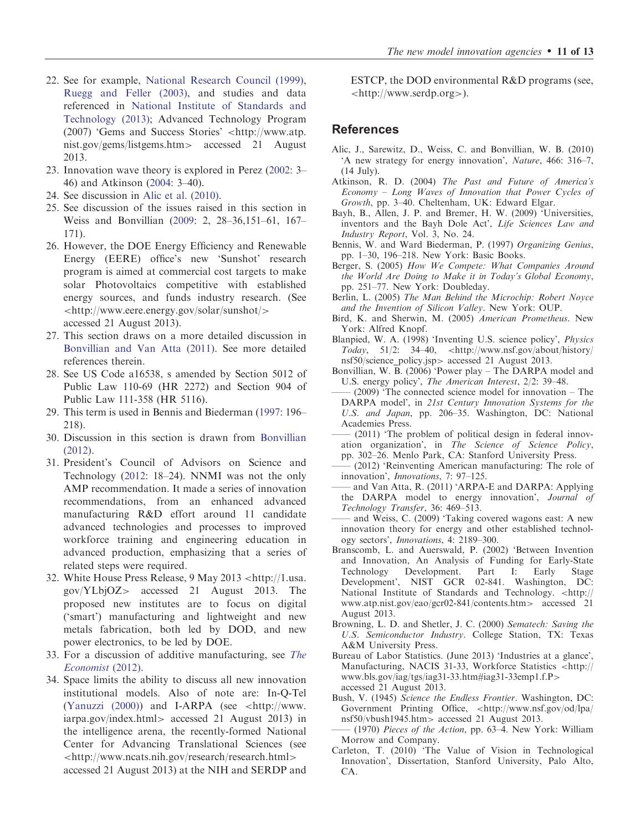- <span id="page-10-0"></span>22. See for example, [National Research Council \(1999\),](#page-11-0) [Ruegg and Feller \(2003\)](#page-11-0), and studies and data referenced in [National Institute of Standards and](#page-11-0) [Technology \(2013\)](#page-11-0); Advanced Technology Program (2007) 'Gems and Success Stories' <[http://www.atp.](http://www.atp.nist.gov/gems/listgems.htm) [nist.gov/gems/listgems.htm](http://www.atp.nist.gov/gems/listgems.htm)> accessed 21 August 2013.
- 23. Innovation wave theory is explored in Perez ([2002:](#page-11-0) 3– 46) and Atkinson (2004: 3–40).
- 24. See discussion in Alic et al. (2010).
- 25. See discussion of the issues raised in this section in Weiss and Bonvillian ([2009:](#page-12-0) 2, 28–36,151–61, 167– 171).
- 26. However, the DOE Energy Efficiency and Renewable Energy (EERE) office's new 'Sunshot' research program is aimed at commercial cost targets to make solar Photovoltaics competitive with established energy sources, and funds industry research. (See <<http://www.eere.energy.gov/solar/sunshot/>> accessed 21 August 2013).
- 27. This section draws on a more detailed discussion in Bonvillian and Van Atta (2011). See more detailed references therein.
- 28. See US Code a16538, s amended by Section 5012 of Public Law 110-69 (HR 2272) and Section 904 of Public Law 111-358 (HR 5116).
- 29. This term is used in Bennis and Biederman (1997: 196– 218).
- 30. Discussion in this section is drawn from Bonvillian (2012).
- 31. President's Council of Advisors on Science and Technology [\(2012](#page-11-0): 18–24). NNMI was not the only AMP recommendation. It made a series of innovation recommendations, from an enhanced advanced manufacturing R&D effort around 11 candidate advanced technologies and processes to improved workforce training and engineering education in advanced production, emphasizing that a series of related steps were required.
- 32. White House Press Release, 9 May 2013 <[http://1.usa.](http://1.usa.gov/YLbjOZ) [gov/YLbjOZ](http://1.usa.gov/YLbjOZ)> accessed 21 August 2013. The proposed new institutes are to focus on digital ('smart') manufacturing and lightweight and new metals fabrication, both led by DOD, and new power electronics, to be led by DOE.
- 33. For a discussion of additive manufacturing, see [The](#page-11-0) [Economist](#page-11-0) (2012).
- 34. Space limits the ability to discuss all new innovation institutional models. Also of note are: In-Q-Tel (Yanuzzi  $(2000)$ ) and I-ARPA (see <[http://www.](http://www.iarpa.gov/index.html) [iarpa.gov/index.html](http://www.iarpa.gov/index.html)> accessed 21 August 2013) in the intelligence arena, the recently-formed National Center for Advancing Translational Sciences (see <<http://www.ncats.nih.gov/research/research.html>> accessed 21 August 2013) at the NIH and SERDP and

ESTCP, the DOD environmental R&D programs (see, <<http://www.serdp.org>>).

## References

- Alic, J., Sarewitz, D., Weiss, C. and Bonvillian, W. B. (2010) 'A new strategy for energy innovation', Nature, 466: 316–7, (14 July).
- Atkinson, R. D. (2004) The Past and Future of America's Economy – Long Waves of Innovation that Power Cycles of Growth, pp. 3–40. Cheltenham, UK: Edward Elgar.
- Bayh, B., Allen, J. P. and Bremer, H. W. (2009) 'Universities, inventors and the Bayh Dole Act', Life Sciences Law and Industry Report, Vol. 3, No. 24.
- Bennis, W. and Ward Biederman, P. (1997) Organizing Genius, pp. 1–30, 196–218. New York: Basic Books.
- Berger, S. (2005) How We Compete: What Companies Around the World Are Doing to Make it in Today's Global Economy, pp. 251–77. New York: Doubleday.
- Berlin, L. (2005) The Man Behind the Microchip: Robert Noyce and the Invention of Silicon Valley. New York: OUP.
- Bird, K. and Sherwin, M. (2005) American Prometheus. New York: Alfred Knopf.
- Blanpied, W. A. (1998) 'Inventing U.S. science policy', Physics Today, 51/2: 34–40, <[http://www.nsf.gov/about/history/](http://www.nsf.gov/about/history/nsf50/science_policy.jsp) [nsf50/science\\_policy.jsp](http://www.nsf.gov/about/history/nsf50/science_policy.jsp)> accessed 21 August 2013.
- Bonvillian, W. B. (2006) 'Power play The DARPA model and U.S. energy policy', The American Interest, 2/2: 39–48.
- $(2009)$  'The connected science model for innovation The DARPA model', in 21st Century Innovation Systems for the U.S. and Japan, pp. 206–35. Washington, DC: National Academies Press.
- $(2011)$  'The problem of political design in federal innovation organization', in The Science of Science Policy, pp. 302–26. Menlo Park, CA: Stanford University Press.
- —— (2012) 'Reinventing American manufacturing: The role of innovation', Innovations, 7: 97–125.
- and Van Atta, R. (2011) 'ARPA-E and DARPA: Applying the DARPA model to energy innovation', Journal of Technology Transfer, 36: 469–513.
- and Weiss,  $C(2009)$  Taking covered wagons east: A new innovation theory for energy and other established technology sectors', Innovations, 4: 2189–300.
- Branscomb, L. and Auerswald, P. (2002) 'Between Invention and Innovation, An Analysis of Funding for Early-State Technology Development. Part I: Early Stage Development', NIST GCR 02-841. Washington, DC: National Institute of Standards and Technology. <[http://](http://www.atp.nist.gov/eao/gcr02-841/contents.htm) [www.atp.nist.gov/eao/gcr02-841/contents.htm](http://www.atp.nist.gov/eao/gcr02-841/contents.htm)> accessed 21 August 2013.
- Browning, L. D. and Shetler, J. C. (2000) Sematech: Saving the U.S. Semiconductor Industry. College Station, TX: Texas A&M University Press.
- Bureau of Labor Statistics. (June 2013) 'Industries at a glance', Manufacturing, NACIS 31-33, Workforce Statistics <[http://](http://www.bls.gov/iag/tgs/iag31-33.htm#iag31-33emp1.f.P) [www.bls.gov/iag/tgs/iag31-33.htm#iag31-33emp1.f.P](http://www.bls.gov/iag/tgs/iag31-33.htm#iag31-33emp1.f.P)> accessed 21 August 2013.
- Bush, V. (1945) Science the Endless Frontier. Washington, DC: Government Printing Office, <[http://www.nsf.gov/od/lpa/](http://www.nsf.gov/od/lpa/nsf50/vbush1945.htm) [nsf50/vbush1945.htm](http://www.nsf.gov/od/lpa/nsf50/vbush1945.htm)> accessed 21 August 2013.
- (1970) Pieces of the Action, pp.  $63-4$ . New York: William Morrow and Company.
- Carleton, T. (2010) 'The Value of Vision in Technological Innovation', Dissertation, Stanford University, Palo Alto, CA.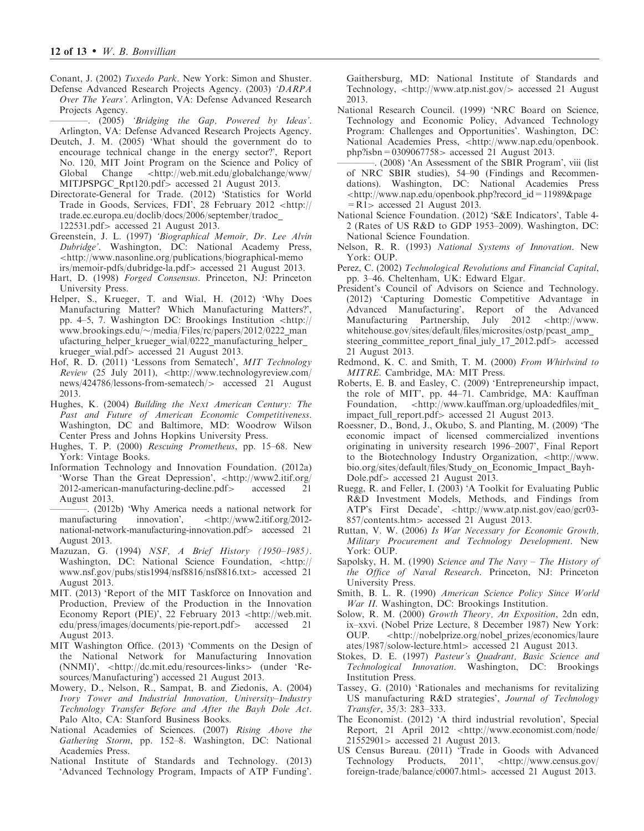- <span id="page-11-0"></span>Conant, J. (2002) Tuxedo Park. New York: Simon and Shuster.
- Defense Advanced Research Projects Agency. (2003) 'DARPA Over The Years'. Arlington, VA: Defense Advanced Research Projects Agency.
- $(2005)$  'Bridging the Gap, Powered by Ideas'. Arlington, VA: Defense Advanced Research Projects Agency.
- Deutch, J. M. (2005) 'What should the government do to encourage technical change in the energy sector?', Report No. 120, MIT Joint Program on the Science and Policy of Global Change <[http://web.mit.edu/globalchange/www/](http://web.mit.edu/globalchange/www/MITJPSPGC_Rpt120.pdf) [MITJPSPGC\\_Rpt120.pdf](http://web.mit.edu/globalchange/www/MITJPSPGC_Rpt120.pdf)> accessed 21 August 2013.
- Directorate-General for Trade. (2012) 'Statistics for World Trade in Goods, Services, FDI', 28 February 2012 <[http://](http://trade.ec.europa.eu/doclib/docs/2006/september/tradoc_122531.pdf) [trade.ec.europa.eu/doclib/docs/2006/september/tradoc\\_](http://trade.ec.europa.eu/doclib/docs/2006/september/tradoc_122531.pdf) [122531.pdf](http://trade.ec.europa.eu/doclib/docs/2006/september/tradoc_122531.pdf)> accessed 21 August 2013.
- Greenstein, J. L. (1997) 'Biographical Memoir, Dr. Lee Alvin Dubridge'. Washington, DC: National Academy Press, <[http://www.nasonline.org/publications/biographical-memo](http://www.nasonline.org/publications/biographical-memoirs/memoir-pdfs/dubridge-la.pdf) [irs/memoir-pdfs/dubridge-la.pdf](http://www.nasonline.org/publications/biographical-memoirs/memoir-pdfs/dubridge-la.pdf)> accessed 21 August 2013.
- Hart, D. (1998) Forged Consensus. Princeton, NJ: Princeton University Press.
- Helper, S., Krueger, T. and Wial, H. (2012) 'Why Does Manufacturing Matter? Which Manufacturing Matters?', pp. 4–5, 7. Washington DC: Brookings Institution <[http://](http://www.brookings.edu/~/media/Files/rc/papers/2012/0222_manufacturing_helper_krueger_wial/0222_manufacturing_helper_krueger_wial.pdf) [www.brookings.edu/](http://www.brookings.edu/~/media/Files/rc/papers/2012/0222_manufacturing_helper_krueger_wial/0222_manufacturing_helper_krueger_wial.pdf)-[/media/Files/rc/papers/2012/0222\\_man](http://www.brookings.edu/~/media/Files/rc/papers/2012/0222_manufacturing_helper_krueger_wial/0222_manufacturing_helper_krueger_wial.pdf) ufacturing helper krueger wial/0222 manufacturing helper [krueger\\_wial.pdf](http://www.brookings.edu/~/media/Files/rc/papers/2012/0222_manufacturing_helper_krueger_wial/0222_manufacturing_helper_krueger_wial.pdf)> accessed 21 August 2013.
- Hof, R. D. (2011) 'Lessons from Sematech', MIT Technology Review (25 July 2011), <[http://www.technologyreview.com/](http://www.technologyreview.com/news/424786/lessons-from-sematech/) [news/424786/lessons-from-sematech/](http://www.technologyreview.com/news/424786/lessons-from-sematech/)> accessed 21 August 2013.
- Hughes, K. (2004) Building the Next American Century: The Past and Future of American Economic Competitiveness. Washington, DC and Baltimore, MD: Woodrow Wilson Center Press and Johns Hopkins University Press.
- Hughes, T. P. (2000) Rescuing Prometheus, pp. 15–68. New York: Vintage Books.
- Information Technology and Innovation Foundation. (2012a) 'Worse Than the Great Depression', <[http://www2.itif.org/](http://www2.itif.org/2012-american-manufacturing-decline.pdf) [2012-american-manufacturing-decline.pdf](http://www2.itif.org/2012-american-manufacturing-decline.pdf)> accessed 21 August 2013.
- ————. (2012b) 'Why America needs a national network for manufacturing innovation', <[http://www2.itif.org/2012](http://www2.itif.org/2012-national-network-manufacturing-innovation.pdf) [national-network-manufacturing-innovation.pdf](http://www2.itif.org/2012-national-network-manufacturing-innovation.pdf)> accessed 21 August 2013.
- Mazuzan, G. (1994) NSF, A Brief History (1950–1985). Washington, DC: National Science Foundation, <[http://](http://www.nsf.gov/pubs/stis1994/nsf8816/nsf8816.txt) [www.nsf.gov/pubs/stis1994/nsf8816/nsf8816.txt](http://www.nsf.gov/pubs/stis1994/nsf8816/nsf8816.txt)> accessed 21 August 2013.
- MIT. (2013) 'Report of the MIT Taskforce on Innovation and Production, Preview of the Production in the Innovation Economy Report (PIE)', 22 February 2013 <[http://web.mit.](http://web.mit.edu/press/images/documents/pie-report.pdf) [edu/press/images/documents/pie-report.pdf](http://web.mit.edu/press/images/documents/pie-report.pdf)> accessed 21 August 2013.
- MIT Washington Office. (2013) 'Comments on the Design of the National Network for Manufacturing Innovation (NNMI)', <<http://dc.mit.edu/resources-links>> (under 'Resources/Manufacturing') accessed 21 August 2013.
- Mowery, D., Nelson, R., Sampat, B. and Ziedonis, A. (2004) Ivory Tower and Industrial Innovation, University–Industry Technology Transfer Before and After the Bayh Dole Act. Palo Alto, CA: Stanford Business Books.
- National Academies of Sciences. (2007) Rising Above the Gathering Storm, pp. 152–8. Washington, DC: National Academies Press.
- National Institute of Standards and Technology. (2013) 'Advanced Technology Program, Impacts of ATP Funding'.

Gaithersburg, MD: National Institute of Standards and Technology, <<http://www.atp.nist.gov/>> accessed 21 August 2013.

- National Research Council. (1999) 'NRC Board on Science, Technology and Economic Policy, Advanced Technology Program: Challenges and Opportunities'. Washington, DC: National Academies Press, <[http://www.nap.edu/openbook.](http://www.nap.edu/openbook.php?isbn=0309067758) [php?isbn=0309067758](http://www.nap.edu/openbook.php?isbn=0309067758)> accessed 21 August 2013.
- ————. (2008) 'An Assessment of the SBIR Program', viii (list of NRC SBIR studies), 54–90 (Findings and Recommendations). Washington, DC: National Academies Press <[http://www.nap.edu/openbook.php?record\\_id=11989&page](http://www.nap.edu/openbook.php?record_id=11989&page=R1)  $=R1$  accessed 21 August 2013.
- National Science Foundation. (2012) 'S&E Indicators', Table 4- 2 (Rates of US R&D to GDP 1953–2009). Washington, DC: National Science Foundation.
- Nelson, R. R. (1993) National Systems of Innovation. New York: OUP.
- Perez, C. (2002) Technological Revolutions and Financial Capital, pp. 3–46. Cheltenham, UK: Edward Elgar.
- President's Council of Advisors on Science and Technology. (2012) 'Capturing Domestic Competitive Advantage in Advanced Manufacturing', Report of the Advanced Manufacturing Partnership, July 2012 <[http://www.](http://www.whitehouse.gov/sites/default/files/microsites/ostp/pcast_amp_steering_committee_report_final_july_17_2012.pdf) [whitehouse.gov/sites/default/files/microsites/ostp/pcast\\_amp\\_](http://www.whitehouse.gov/sites/default/files/microsites/ostp/pcast_amp_steering_committee_report_final_july_17_2012.pdf) [steering\\_committee\\_report\\_final\\_july\\_17\\_2012.pdf](http://www.whitehouse.gov/sites/default/files/microsites/ostp/pcast_amp_steering_committee_report_final_july_17_2012.pdf)> accessed 21 August 2013.
- Redmond, K. C. and Smith, T. M. (2000) From Whirlwind to MITRE. Cambridge, MA: MIT Press.
- Roberts, E. B. and Easley, C. (2009) 'Entrepreneurship impact, the role of MIT', pp. 44–71. Cambridge, MA: Kauffman Foundation, <http://www.kauffman.org/uploadedfiles/mit impact full report.pdf> accessed 21 August 2013.
- Roessner, D., Bond, J., Okubo, S. and Planting, M. (2009) 'The economic impact of licensed commercialized inventions originating in university research 1996–2007', Final Report to the Biotechnology Industry Organization, <[http://www.](http://www.bio.org/sites/default/files/Study_on_Economic_Impact_Bayh-Dole.pdf) [bio.org/sites/default/files/Study\\_on\\_Economic\\_Impact\\_Bayh-](http://www.bio.org/sites/default/files/Study_on_Economic_Impact_Bayh-Dole.pdf)[Dole.pdf](http://www.bio.org/sites/default/files/Study_on_Economic_Impact_Bayh-Dole.pdf)> accessed 21 August 2013.
- Ruegg, R. and Feller, I. (2003) 'A Toolkit for Evaluating Public R&D Investment Models, Methods, and Findings from ATP's First Decade', <[http://www.atp.nist.gov/eao/gcr03-](http://www.atp.nist.gov/eao/gcr03-857/contents.htm) [857/contents.htm](http://www.atp.nist.gov/eao/gcr03-857/contents.htm)> accessed 21 August 2013.
- Ruttan, V. W. (2006) Is War Necessary for Economic Growth, Military Procurement and Technology Development. New York: OUP.
- Sapolsky, H. M. (1990) Science and The Navy The History of the Office of Naval Research. Princeton, NJ: Princeton University Press.
- Smith, B. L. R. (1990) American Science Policy Since World War II. Washington, DC: Brookings Institution.
- Solow, R. M. (2000) Growth Theory, An Exposition, 2dn edn, ix–xxvi. (Nobel Prize Lecture, 8 December 1987) New York: OUP. <[http://nobelprize.org/nobel\\_prizes/economics/laure](http://nobelprize.org/nobel_prizes/economics/laureates/1987/solow-lecture.html) [ates/1987/solow-lecture.html](http://nobelprize.org/nobel_prizes/economics/laureates/1987/solow-lecture.html)> accessed 21 August 2013.
- Stokes, D. E. (1997) Pasteur's Quadrant, Basic Science and Technological Innovation. Washington, DC: Brookings Institution Press.
- Tassey, G. (2010) 'Rationales and mechanisms for revitalizing US manufacturing R&D strategies', Journal of Technology Transfer, 35/3: 283–333.
- The Economist. (2012) 'A third industrial revolution', Special Report, 21 April 2012 <[http://www.economist.com/node/](http://www.economist.com/node/21552901) [21552901](http://www.economist.com/node/21552901)> accessed 21 August 2013.
- US Census Bureau. (2011) 'Trade in Goods with Advanced Technology Products, 2011', <[http://www.census.gov/](http://www.census.gov/foreign-trade/balance/c0007.html) [foreign-trade/balance/c0007.html](http://www.census.gov/foreign-trade/balance/c0007.html)> accessed 21 August 2013.